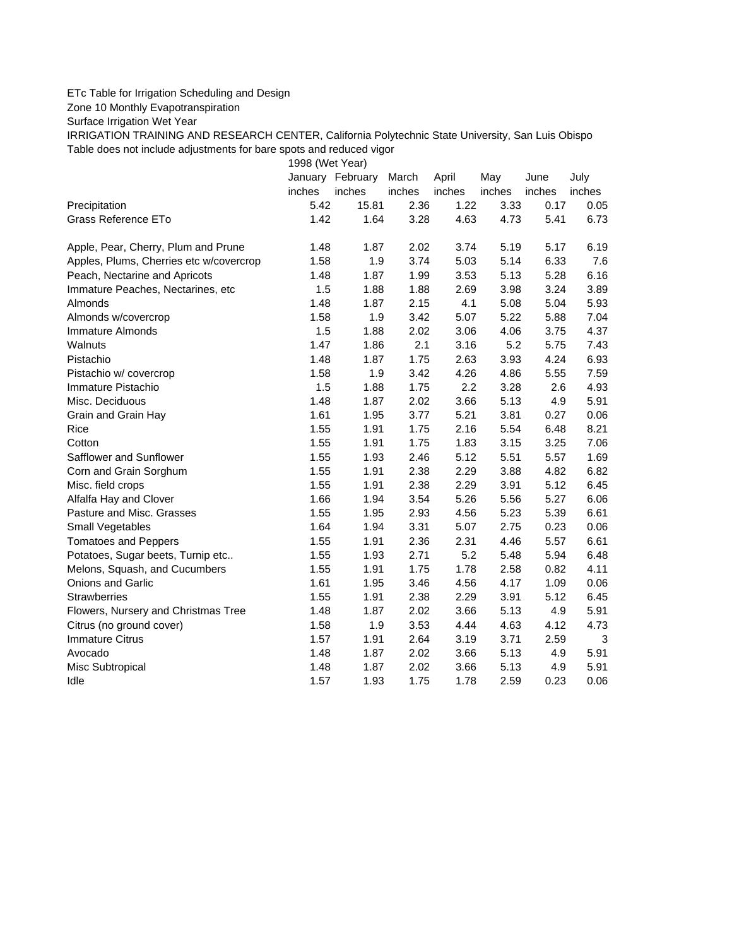## ETc Table for Irrigation Scheduling and Design

Zone 10 Monthly Evapotranspiration

Surface Irrigation Wet Year

IRRIGATION TRAINING AND RESEARCH CENTER, California Polytechnic State University, San Luis Obispo Table does not include adjustments for bare spots and reduced vigor

1998 (Wet Year)

|                                         |        | January February | March  | April  | May    | June   | July    |
|-----------------------------------------|--------|------------------|--------|--------|--------|--------|---------|
|                                         | inches | inches           | inches | inches | inches | inches | inches  |
| Precipitation                           | 5.42   | 15.81            | 2.36   | 1.22   | 3.33   | 0.17   | 0.05    |
| <b>Grass Reference ETo</b>              | 1.42   | 1.64             | 3.28   | 4.63   | 4.73   | 5.41   | 6.73    |
| Apple, Pear, Cherry, Plum and Prune     | 1.48   | 1.87             | 2.02   | 3.74   | 5.19   | 5.17   | 6.19    |
| Apples, Plums, Cherries etc w/covercrop | 1.58   | 1.9              | 3.74   | 5.03   | 5.14   | 6.33   | $7.6\,$ |
| Peach, Nectarine and Apricots           | 1.48   | 1.87             | 1.99   | 3.53   | 5.13   | 5.28   | 6.16    |
| Immature Peaches, Nectarines, etc       | 1.5    | 1.88             | 1.88   | 2.69   | 3.98   | 3.24   | 3.89    |
| Almonds                                 | 1.48   | 1.87             | 2.15   | 4.1    | 5.08   | 5.04   | 5.93    |
| Almonds w/covercrop                     | 1.58   | 1.9              | 3.42   | 5.07   | 5.22   | 5.88   | 7.04    |
| <b>Immature Almonds</b>                 | 1.5    | 1.88             | 2.02   | 3.06   | 4.06   | 3.75   | 4.37    |
| Walnuts                                 | 1.47   | 1.86             | 2.1    | 3.16   | 5.2    | 5.75   | 7.43    |
| Pistachio                               | 1.48   | 1.87             | 1.75   | 2.63   | 3.93   | 4.24   | 6.93    |
| Pistachio w/ covercrop                  | 1.58   | 1.9              | 3.42   | 4.26   | 4.86   | 5.55   | 7.59    |
| Immature Pistachio                      | 1.5    | 1.88             | 1.75   | 2.2    | 3.28   | 2.6    | 4.93    |
| Misc. Deciduous                         | 1.48   | 1.87             | 2.02   | 3.66   | 5.13   | 4.9    | 5.91    |
| Grain and Grain Hay                     | 1.61   | 1.95             | 3.77   | 5.21   | 3.81   | 0.27   | 0.06    |
| Rice                                    | 1.55   | 1.91             | 1.75   | 2.16   | 5.54   | 6.48   | 8.21    |
| Cotton                                  | 1.55   | 1.91             | 1.75   | 1.83   | 3.15   | 3.25   | 7.06    |
| Safflower and Sunflower                 | 1.55   | 1.93             | 2.46   | 5.12   | 5.51   | 5.57   | 1.69    |
| Corn and Grain Sorghum                  | 1.55   | 1.91             | 2.38   | 2.29   | 3.88   | 4.82   | 6.82    |
| Misc. field crops                       | 1.55   | 1.91             | 2.38   | 2.29   | 3.91   | 5.12   | 6.45    |
| Alfalfa Hay and Clover                  | 1.66   | 1.94             | 3.54   | 5.26   | 5.56   | 5.27   | 6.06    |
| Pasture and Misc. Grasses               | 1.55   | 1.95             | 2.93   | 4.56   | 5.23   | 5.39   | 6.61    |
| Small Vegetables                        | 1.64   | 1.94             | 3.31   | 5.07   | 2.75   | 0.23   | 0.06    |
| <b>Tomatoes and Peppers</b>             | 1.55   | 1.91             | 2.36   | 2.31   | 4.46   | 5.57   | 6.61    |
| Potatoes, Sugar beets, Turnip etc       | 1.55   | 1.93             | 2.71   | 5.2    | 5.48   | 5.94   | 6.48    |
| Melons, Squash, and Cucumbers           | 1.55   | 1.91             | 1.75   | 1.78   | 2.58   | 0.82   | 4.11    |
| Onions and Garlic                       | 1.61   | 1.95             | 3.46   | 4.56   | 4.17   | 1.09   | 0.06    |
| <b>Strawberries</b>                     | 1.55   | 1.91             | 2.38   | 2.29   | 3.91   | 5.12   | 6.45    |
| Flowers, Nursery and Christmas Tree     | 1.48   | 1.87             | 2.02   | 3.66   | 5.13   | 4.9    | 5.91    |
| Citrus (no ground cover)                | 1.58   | 1.9              | 3.53   | 4.44   | 4.63   | 4.12   | 4.73    |
| <b>Immature Citrus</b>                  | 1.57   | 1.91             | 2.64   | 3.19   | 3.71   | 2.59   | 3       |
| Avocado                                 | 1.48   | 1.87             | 2.02   | 3.66   | 5.13   | 4.9    | 5.91    |
| Misc Subtropical                        | 1.48   | 1.87             | 2.02   | 3.66   | 5.13   | 4.9    | 5.91    |
| Idle                                    | 1.57   | 1.93             | 1.75   | 1.78   | 2.59   | 0.23   | 0.06    |